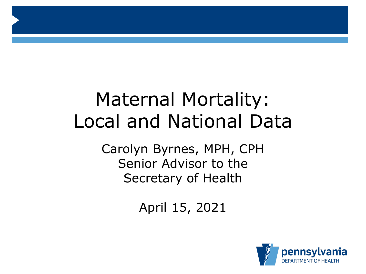# Maternal Mortality: Local and National Data

Carolyn Byrnes, MPH, CPH Senior Advisor to the Secretary of Health

April 15, 2021

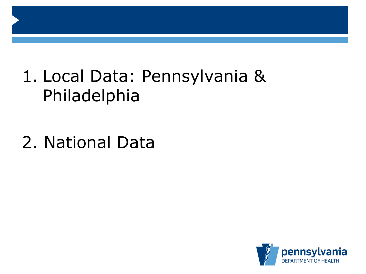# 1. Local Data: Pennsylvania & Philadelphia

2. National Data

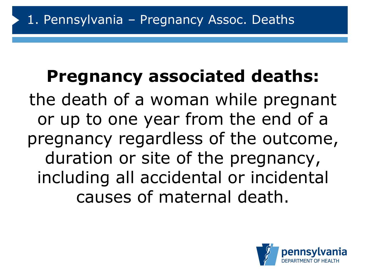# **Pregnancy associated deaths:**

the death of a woman while pregnant or up to one year from the end of a pregnancy regardless of the outcome, duration or site of the pregnancy, including all accidental or incidental causes of maternal death.

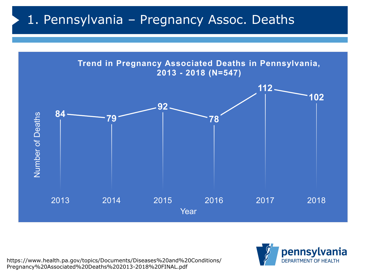### 1. Pennsylvania – Pregnancy Assoc. Deaths



https://www.health.pa.gov/topics/Documents/Diseases%20and%20Conditions/ Pregnancy%20Associated%20Deaths%202013-2018%20FINAL.pdf

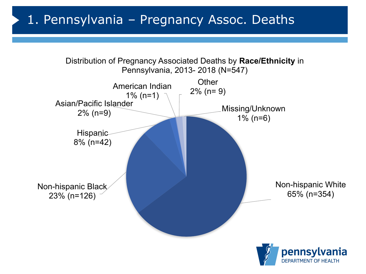### 1. Pennsylvania – Pregnancy Assoc. Deaths

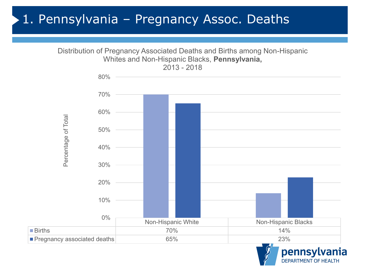### 1. Pennsylvania – Pregnancy Assoc. Deaths



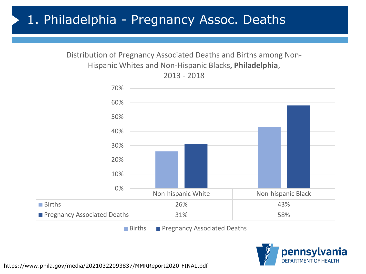### 1. Philadelphia - Pregnancy Assoc. Deaths

#### Distribution of Pregnancy Associated Deaths and Births among Non-Hispanic Whites and Non-Hispanic Blacks**, Philadelphia**, 2013 - 2018



■ Births ■ Pregnancy Associated Deaths

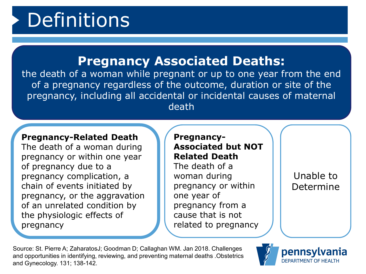# Definitions

#### **Pregnancy Associated Deaths:**

the death of a woman while pregnant or up to one year from the end of a pregnancy regardless of the outcome, duration or site of the pregnancy, including all accidental or incidental causes of maternal death

#### **Pregnancy-Related Death**

The death of a woman during pregnancy or within one year of pregnancy due to a pregnancy complication, a chain of events initiated by pregnancy, or the aggravation of an unrelated condition by the physiologic effects of pregnancy

#### **Pregnancy-Associated but NOT Related Death**

The death of a woman during pregnancy or within one year of pregnancy from a cause that is not related to pregnancy

Unable to Determine

Source: St. Pierre A; ZaharatosJ; Goodman D; Callaghan WM. Jan 2018. Challenges and opportunities in identifying, reviewing, and preventing maternal deaths .Obstetrics and Gynecology. 131; 138-142.

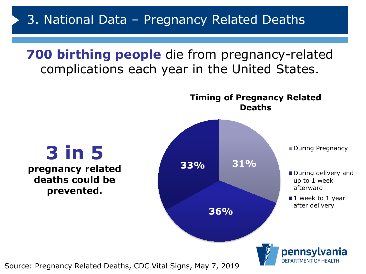**700 birthing people** die from pregnancy-related complications each year in the United States.



Source: Pregnancy Related Deaths, CDC Vital Signs, May 7, 2019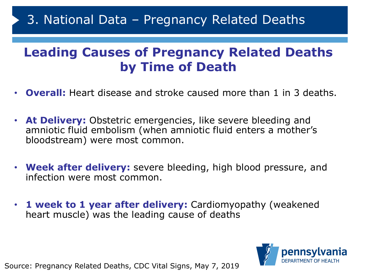### 3. National Data – Pregnancy Related Deaths

### **Leading Causes of Pregnancy Related Deaths by Time of Death**

- **Overall:** Heart disease and stroke caused more than 1 in 3 deaths.
- **At Delivery:** Obstetric emergencies, like severe bleeding and amniotic fluid embolism (when amniotic fluid enters a mother's bloodstream) were most common.
- **Week after delivery:** severe bleeding, high blood pressure, and infection were most common.
- **1 week to 1 year after delivery:** Cardiomyopathy (weakened heart muscle) was the leading cause of deaths



Source: Pregnancy Related Deaths, CDC Vital Signs, May 7, 2019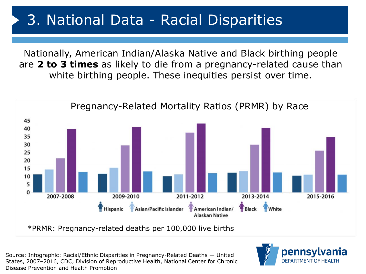## 3. National Data - Racial Disparities

Nationally, American Indian/Alaska Native and Black birthing people are **2 to 3 times** as likely to die from a pregnancy-related cause than white birthing people. These inequities persist over time.



\*PRMR: Pregnancy-related deaths per 100,000 live births

Source: Infographic: Racial/Ethnic Disparities in Pregnancy-Related Deaths — United States, 2007–2016, CDC, Division of Reproductive Health, National Center for Chronic Disease Prevention and Health Promotion

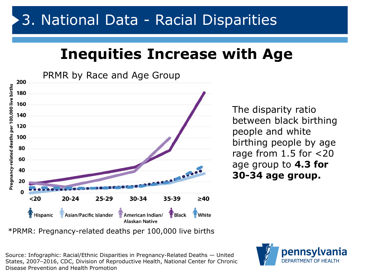## **Inequities Increase with Age**



The disparity ratio between black birthing people and white birthing people by age rage from 1.5 for <20 age group to **4.3 for 30-34 age group.** 

\*PRMR: Pregnancy-related deaths per 100,000 live births

Source: Infographic: Racial/Ethnic Disparities in Pregnancy-Related Deaths — United States, 2007–2016, CDC, Division of Reproductive Health, National Center for Chronic Disease Prevention and Health Promotion

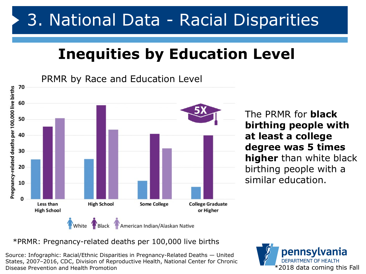## 3. National Data - Racial Disparities

## **Inequities by Education Level**

PRMR by Race and Education Level 70 Pregnancy-related deaths per 100,000 live births 60 50 40 30 20 10  $\Omega$ Less than **High School Some College College Graduate High School** or Higher White Black Comerican Indian/Alaskan Native

The PRMR for **black birthing people with at least a college degree was 5 times higher** than white black birthing people with a similar education.

#### \*PRMR: Pregnancy-related deaths per 100,000 live births

Source: Infographic: Racial/Ethnic Disparities in Pregnancy-Related Deaths — United States, 2007–2016, CDC, Division of Reproductive Health, National Center for Chronic Disease Prevention and Health Promotion

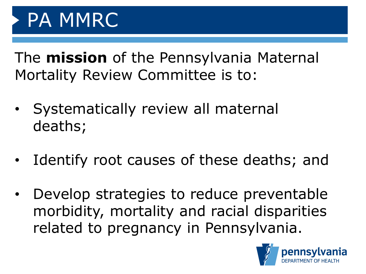The **mission** of the Pennsylvania Maternal Mortality Review Committee is to:

- Systematically review all maternal deaths;
- Identify root causes of these deaths; and
- Develop strategies to reduce preventable morbidity, mortality and racial disparities related to pregnancy in Pennsylvania.

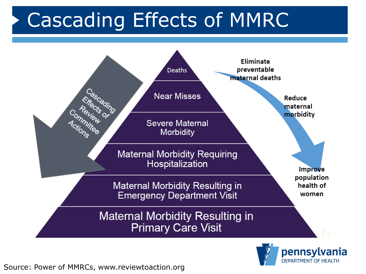# Cascading Effects of MMRC



**DEPARTMENT OF HEALTH** 

Source: Power of MMRCs, www.reviewtoaction.org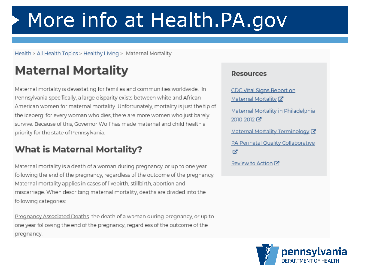# More info at Health.PA.gov

Health > All Health Topics > Healthy Living > Maternal Mortality

## **Maternal Mortality**

Maternal mortality is devastating for families and communities worldwide. In Pennsylvania specifically, a large disparity exists between white and African American women for maternal mortality. Unfortunately, mortality is just the tip of the iceberg: for every woman who dies, there are more women who just barely survive. Because of this, Governor Wolf has made maternal and child health a priority for the state of Pennsylvania.

#### **What is Maternal Mortality?**

Maternal mortality is a death of a woman during pregnancy, or up to one year following the end of the pregnancy, regardless of the outcome of the pregnancy. Maternal mortality applies in cases of livebirth, stillbirth, abortion and miscarriage. When describing maternal mortality, deaths are divided into the following categories:

Pregnancy Associated Deaths: the death of a woman during pregnancy, or up to one year following the end of the pregnancy, regardless of the outcome of the pregnancy.

#### **Resources**

CDC Vital Signs Report on Maternal Mortality<sup>7</sup> Maternal Mortality in Philadelphia 2010-2012 Maternal Mortality Terminology C PA Perinatal Quality Collaborative ø Review to Action C